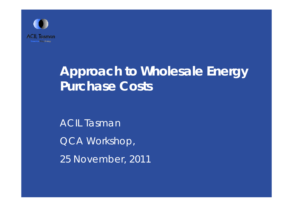

## **Approach to Wholesale Energy Purchase Costs**

ACIL Tasman QCA Workshop, 25 November, 2011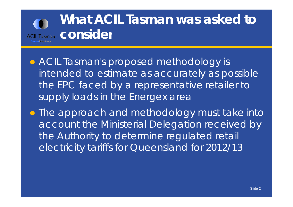## **What ACIL Tasman was asked to ACIL Tasman CONSider**

**• ACIL Tasman's proposed methodology is** intended to estimate as accurately as possible the EPC faced by a representative retailer to supply loads in the Energex area

**• The approach and methodology must take into** account the Ministerial Delegation received by the Authority to determine regulated retail electricity tariffs for Queensland for 2012/13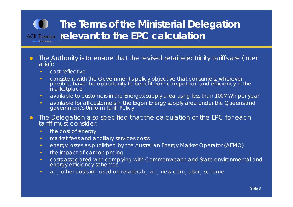#### **The Terms of the Ministerial Delegation rel t t th EPC l l ti levant o e calculation**

- $\bullet$ • The Authority is to ensure that the revised retail electricity tariffs are (inter alia):
	- cost-reflective
	- consistent with the Government's policy objective that consumers, wherever possible, have the opportunity to benefit from competition and efficiency in the **marketplace**
	- available to customers in the Energex supply area using less than 100MWh per year
	- available for all customers in the Ergon Energy supply area under the Queensland government's Uniform Tariff Policy
- $\bullet$  The Delegation also specified that the calculation of the EPC for each tariff must consider:
	- the cost of energy
	- market fees and ancillary services costs
	- energy losses as published by the Australian Energy Market Operator (AEMO)
	- the impact of carbon pricing
	- costs associated with complying with Commonwealth and State environmental and energy efficiency schemes
	- an, other costs im, osed on retailers b, an, new com, ulsor, scheme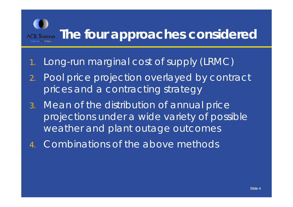### ACIL Tasman The four approaches considered

#### 1.Long-run marginal cost of supply (LRMC)

- 2. Pool price projection overlayed by contract prices and a contracting strategy
- 3. Mean of the distribution of annual price projections under a wide variety of possible weather and plant outage outcomes
- 4.Combinations of the above methods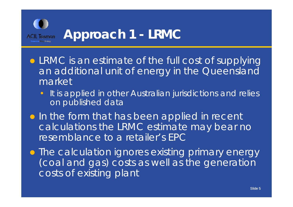

- LRMC is an estimate of the full cost of supplying an additional unit of energy in the Queensland market
	- •It is applied in other Australian jurisdictions and relies on published data
- **In the form that has been applied in recent** calculations the LRMC estimate may bear no resemblance to a retailer's EPC

**• The calculation ignores existing primary energy** (coal and gas) costs as well as the generation costs of existing plant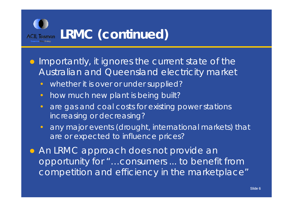

- **Importantly, it ignores the current state of the** Australian and Queensland electricity market
	- $\bullet$ whether it is over or under supplied?
	- •how much new plant is being built?
	- $\bullet$  are gas and coal costs for existing power stations increasing or decreasing?
	- any major events (drought, international markets) that are or expected to influence prices?

**• An LRMC approach does not provide an** opportunity for "…consumers ... to benefit from competition and efficiency in the marketplace "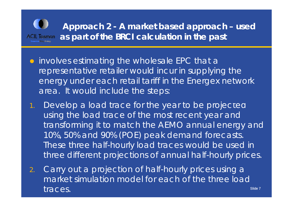

- **•** involves estimating the wholesale EPC that a representative retailer would incur in supplying the energy under each retail tariff in the Energex network area. It would include the steps:
- Develop a load trace for the year to be projected using the load trace of the most recent year and transforming it to match the AEMO annual energy and 10%, 50% and 90% (POE) peak demand forecasts. These three half-hourly load traces would be used in three different projections of annual half-hourly prices.
- 2.. Carry out a projection of half-hourly prices using a Slide 7market simulation model for each of the three load traces.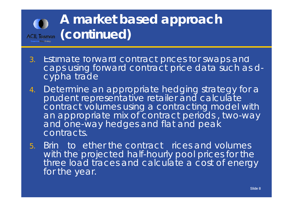# **A market based approach**  ACIL Tasman (**CONtinued**)

- 3. E stima t e forward con tract prices for swaps and caps using forward contract price data such as dcypha trade
- 4. Determine an appropriate hedging strategy for a prudent representative retailer and calculate contract volumes using a contracting model with an appropriate mix of contract periods , two-way and one -way hedges and flat and peak contracts.
- 5.but Bring to ether the contract rices and volumes with the projected half-hourly pool prices for the three load traces and calculate a cost of energy for the year.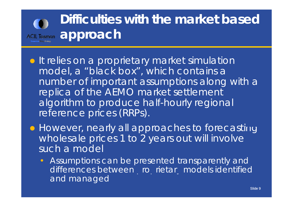# **Difficulties with the market based**  ACIL Tasman **approach**

- **It relies on a proprietary market simulation** model, a "black box", which contains a number of important assumptions along with a replica of the AEMO market settlement algorithm to produce half -hourly regional reference prices (RRPs).
- However, nearly all approaches to forecasting wholesale prices 1 to 2 years out will involve such a model
	- • Assumptions can be presented transparently and differences between ro rietar models identified and managed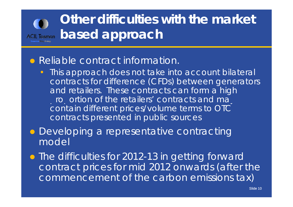#### **Other difficulties with the market based approach ACIL Tasman**

#### $\bigodot$ Reliable contract information.

- This approach does not take into account bilateral contracts for difference (CFDs) between generators and retailers. These contracts can form a high o ortion of the retailers' contracts and mage contain different prices/volume terms to OTC contracts presented in public sources
- Developing a representative contracting model
- The difficulties for 2012-13 in getting forward contract prices for mid 2012 onwards (after the commencement o f the carbon emissions tax)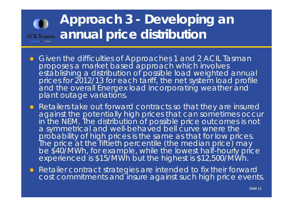## **Approach 3 - Developing an ACIL Tasman** annual price distribution

- Given the difficulties of Approaches 1 and 2 ACIL Tasman proposes a market based approach which involves<br>establishing a distribution of possible load weighted annual prices for 2012/13 for each tariff, the net system load profile and the overall Energex load incorporating weather and plant outage variations.
- $\bullet$  Retailers take out forward contracts so that they are insured against the potentially high prices that can sometimes occur in the NEM. The distribution of possible price outcomes is not a symmetrical and well-behaved bell curve where the probability of high prices is the same as that for low prices.<br>The price at the fiftieth percentile (the median price) may be \$40/MWh, for example, while the lowest half-hourly price experienced is \$15/MWh but the highest is \$12,500/MWh.
- Retailer contract strate gies are intended to fix their forward cost commitments and insure against such high price events.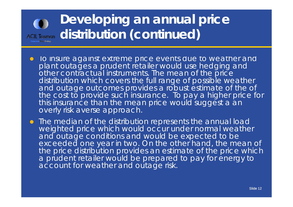## **Developing an annual price**  ACIL Tasman **distribution** (continued)

- . Io insure against extreme price events due to weather and plant outages a prudent retailer would use hedging and other contractual instruments. The mean of the price distribution which covers the full range of possible weather and outage outcomes provides a robust estimate of the of the cost to provide such insurance. To pay a higher price for this insurance than the mean price would suggest a an overly risk averse approach.
- **•** The median of the distribution represents the annual load weighted price which would occur under normal weather and outage conditions and would be expected to be exceeded one year in two. On the other hand, the mean of the price distribution provides an estimate of the price which a prudent retailer would be prepared to pay for energy to account for weather and outage risk.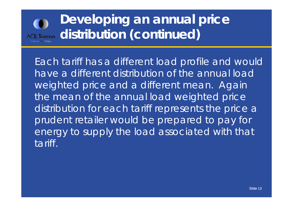

## **Developing an annual price distribution (continued)**

Each tariff has a different load profile and would have a different distribution of the annual load weighted price and a different mean. Again the mean of the annual load weighted price distribution for each tariff represents the price a prudent retailer would be prepared to pay for energy to supply the load associated with that tariff.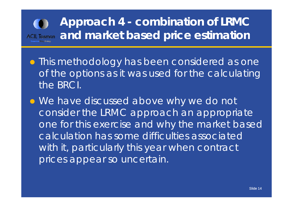## **Approach 4 - combination of LRMC**  ACIL Tasman and market based price estimation

- **This methodology has been considered as one** of the options as it was used for the calculating the BRCI.
- We have discussed above why we do not consider the LRMC approach an appropriate one for this exercise and why the market based calculation has some difficulties associated with it, particularly this year when contract prices appear so uncertain.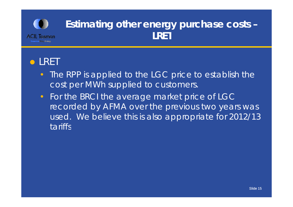

#### **•LRET**

- •The RPP is applied to the LGC price to establish the cost per MWh supplied to customers.
- $\bullet$  For the BRCI the average market price of LGC recorded by AFMA over the previous two years was used. We believe this is also appropriate for 2012/13 tariffs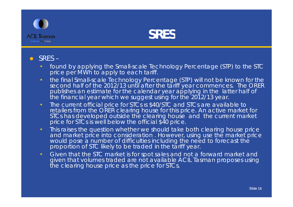



#### SRES –

- found by applying the Small-scale Technology Percentage (STP) to the STC price per MWh to apply to each tariff.
- the final Small-scale Technology Percentage (STP) will not be known for the second half of the 2012/13 until after the tariff year commences. The ORER publishes an estimate for the calendar year applying in the latter half of<br>the financial year which we suggest using for the 2012/13 year.
- The current official price for STCs is \$40/STC and STCs are available to retailers from the ORER clearing house for this price. An active market for STCs has developed outside the clearing house and the current market price for STCs is well below the official \$40 price.
- This raises the question whether we should take both clearing house price and market price into consideration . However, using use the market price would pose a number of difficulties including the need to forecast the proportion of STC likely to be traded in the tariff year.
- Given that the STC market is for spot sales and not a forward market and given that volumes traded are not available ACIL Tasman proposes using the clearing house price as the price for STCs.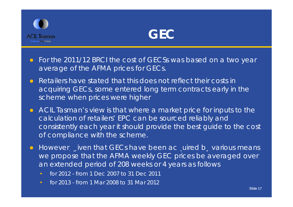



- $\bullet$  For the 2011/12 BRCI the cost of GECSs was based on a two year average of the AFMA prices for GECs.
- $\bullet$  Retailers have stated that this does not reflect their costs in acquiring GECs, some entered long term contracts early in the scheme when prices were higher
- ACIL Tasman's view is that where a market price for inputs to the calculation of retailers' EPC can be sourced reliably and consistently each year it should provide the best guide to the cost of compliance with the scheme.
- $\bullet$ However, given that GECs have been acquired b, various means we propose that the AFMA weekly GEC prices be averaged over an extended period of 208 weeks or 4 years as follows
	- for 2012 from 1 Dec 2007 to 31 Dec 2011
	- for 2013 from 1 Mar 2008 to 31 Mar 2012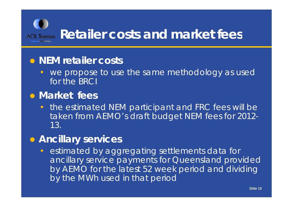

#### **NEM retailer costs**

• we propose to use the same methodology as used for the BRCI

#### **Market fees**

 $\bullet$  the estimated NEM participant and FRC fees will be taken from AEMO's draft budget NEM fees for 2012- 13.

#### **Ancillary services**

 $\bullet$  estimated by aggregating settlements data for ancillary service payments for Queensland provided by AEMO for the latest 52 week period and dividing by the MWh used in that period